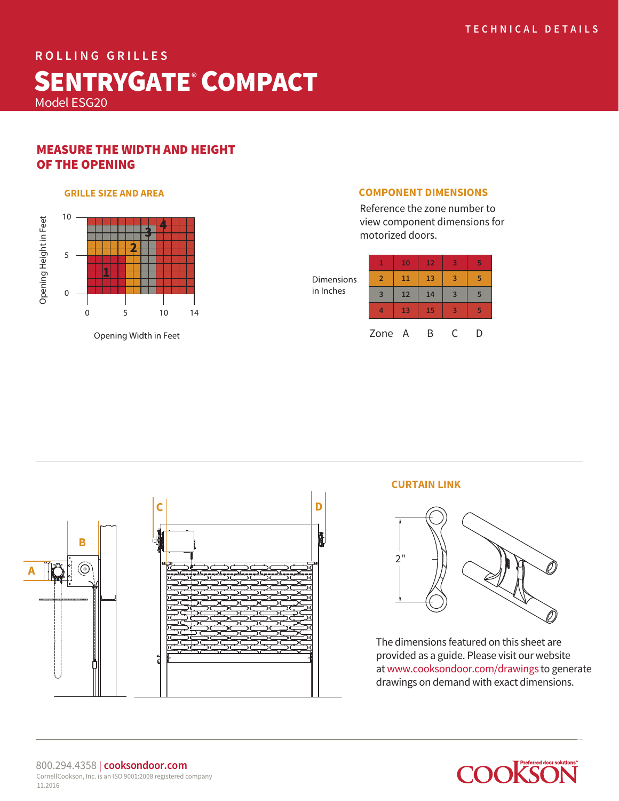# **ROLLING GRILLES** SENTRYGATE<sup>®</sup> COMPACT Model ESG20

## MEASURE THE WIDTH AND HEIGHT OF THE OPENING



Opening Width in Feet

#### **GRILLE SIZE AND AREA COMPONENT DIMENSIONS**

Reference the zone number to view component dimensions for motorized doors.

| <b>Dimensions</b><br>in Inches | 1              | 10 | 12 | $\overline{3}$ | 5 |
|--------------------------------|----------------|----|----|----------------|---|
|                                | $\overline{2}$ | 11 | 13 | 3              | 5 |
|                                | $\overline{3}$ | 12 | 14 | $\overline{3}$ | 5 |
|                                |                | 13 | 15 | 3              | 5 |
|                                | Zone A         |    | R  | C              | D |



## **CURTAIN LINK**



The dimensions featured on this sheet are provided as a guide. Please visit our website at www.cooksondoor.com/drawings to generate drawings on demand with exact dimensions.